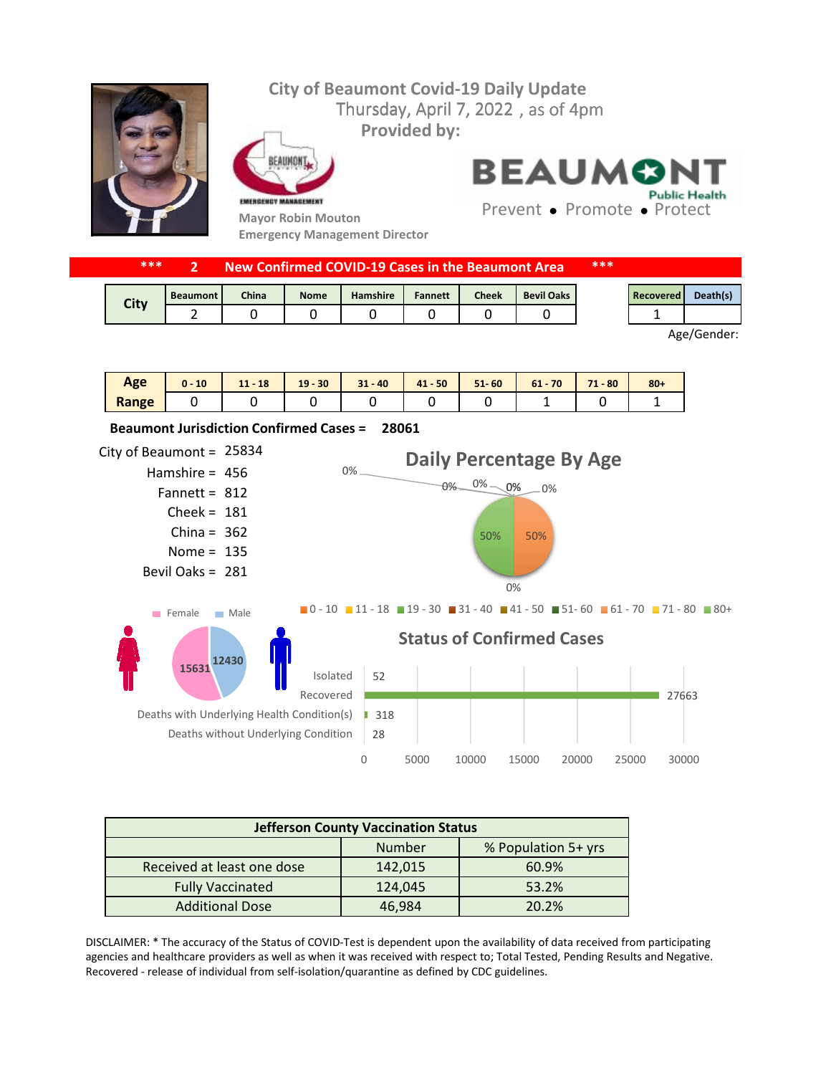## **City of Beaumont Covid-19 Daily Update** Thursday, April 7, 2022, as of 4pm **Provided by:** FAIIMON

EMERGENCY MANAGEMENT



**Mayor Robin Mouton Emergency Management Director**

**BEAUMON Public Health** 

Prevent • Promote • Protect

| ***  | New Confirmed COVID-19 Cases in the Beaumont Area |       |             |          |                |       | ***               |  |           |          |
|------|---------------------------------------------------|-------|-------------|----------|----------------|-------|-------------------|--|-----------|----------|
| City | <b>Beaumont</b>                                   | China | <b>Nome</b> | Hamshire | <b>Fannett</b> | Cheek | <b>Bevil Oaks</b> |  | Recovered | Death(s) |
|      |                                                   |       |             |          |                |       |                   |  |           |          |

Age/Gender:

| Age   | 10<br>u - | $11 - 18$ | $19 - 30$ | $31 - 40$ | $41 - 50$ | $51 - 60$ | 70<br>$61 -$ | 71<br>$-80$<br>. . | $80 +$ |
|-------|-----------|-----------|-----------|-----------|-----------|-----------|--------------|--------------------|--------|
| Range |           |           |           |           |           |           |              |                    |        |



| <b>Jefferson County Vaccination Status</b> |         |                     |  |  |  |  |
|--------------------------------------------|---------|---------------------|--|--|--|--|
|                                            | Number  | % Population 5+ yrs |  |  |  |  |
| Received at least one dose                 | 142,015 | 60.9%               |  |  |  |  |
| <b>Fully Vaccinated</b>                    | 124,045 | 53.2%               |  |  |  |  |
| <b>Additional Dose</b>                     | 46,984  | 20.2%               |  |  |  |  |

DISCLAIMER: \* The accuracy of the Status of COVID-Test is dependent upon the availability of data received from participating agencies and healthcare providers as well as when it was received with respect to; Total Tested, Pending Results and Negative. Recovered - release of individual from self-isolation/quarantine as defined by CDC guidelines.